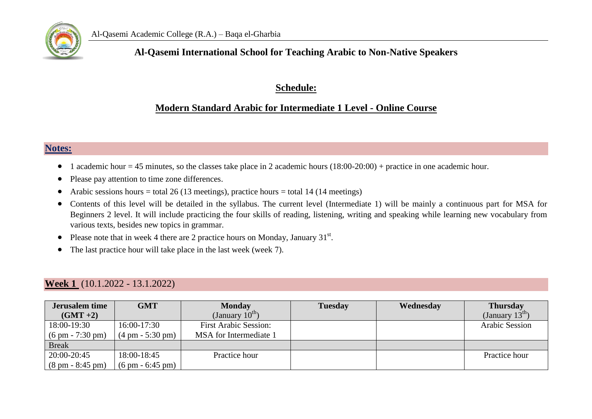

#### **Al-Qasemi International School for Teaching Arabic to Non-Native Speakers**

#### **Schedule:**

#### **Modern Standard Arabic for Intermediate 1 Level - Online Course**

#### **Notes:**

- 1 academic hour = 45 minutes, so the classes take place in 2 academic hours  $(18:00-20:00)$  + practice in one academic hour.
- Please pay attention to time zone differences.
- Arabic sessions hours = total 26 (13 meetings), practice hours = total 14 (14 meetings)
- Contents of this level will be detailed in the syllabus. The current level (Intermediate 1) will be mainly a continuous part for MSA for Beginners 2 level. It will include practicing the four skills of reading, listening, writing and speaking while learning new vocabulary from various texts, besides new topics in grammar.
- Please note that in week 4 there are 2 practice hours on Monday, January  $31<sup>st</sup>$ .
- The last practice hour will take place in the last week (week 7).

#### **Week 1** (10.1.2022 - 13.1.2022)

| <b>Jerusalem time</b>              | <b>GMT</b>                         | <b>Monday</b>                | <b>Tuesday</b> | Wednesday | <b>Thursday</b>            |
|------------------------------------|------------------------------------|------------------------------|----------------|-----------|----------------------------|
| $(GMT + 2)$                        |                                    | (January $10^{\text{th}}$ )  |                |           | (January $13^{\text{m}}$ ) |
| 18:00-19:30                        | 16:00-17:30                        | <b>First Arabic Session:</b> |                |           | <b>Arabic Session</b>      |
| $(6 \text{ pm} - 7:30 \text{ pm})$ | $(4 \text{ pm} - 5:30 \text{ pm})$ | MSA for Intermediate 1       |                |           |                            |
| <b>Break</b>                       |                                    |                              |                |           |                            |
| 20:00-20:45                        | 18:00-18:45                        | Practice hour                |                |           | Practice hour              |
| $(8 \text{ pm} - 8:45 \text{ pm})$ | $(6 \text{ pm} - 6:45 \text{ pm})$ |                              |                |           |                            |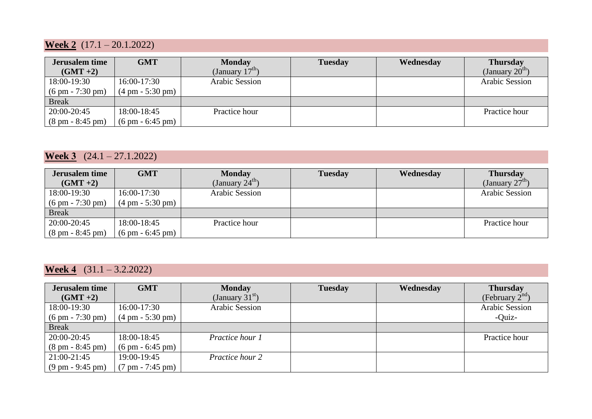## **Week 2** (17.1 – 20.1.2022)

| <b>Jerusalem time</b>              | <b>GMT</b>                         | <b>Monday</b>     | <b>Tuesday</b> | Wednesday | <b>Thursday</b>            |
|------------------------------------|------------------------------------|-------------------|----------------|-----------|----------------------------|
| $(GMT + 2)$                        |                                    | (January $17th$ ) |                |           | (January $20^{\text{m}}$ ) |
| 18:00-19:30                        | 16:00-17:30                        | Arabic Session    |                |           | <b>Arabic Session</b>      |
| $(6 \text{ pm} - 7:30 \text{ pm})$ | $(4 \text{ pm} - 5:30 \text{ pm})$ |                   |                |           |                            |
| <b>Break</b>                       |                                    |                   |                |           |                            |
| 20:00-20:45                        | 18:00-18:45                        | Practice hour     |                |           | Practice hour              |
| $(8 \text{ pm} - 8:45 \text{ pm})$ | $(6 \text{ pm} - 6:45 \text{ pm})$ |                   |                |           |                            |

## **Week 3** (24.1 – 27.1.2022)

| Jerusalem time                     | <b>GMT</b>                         | <b>Monday</b>               | <b>Tuesday</b> | Wednesday | <b>Thursday</b>            |
|------------------------------------|------------------------------------|-----------------------------|----------------|-----------|----------------------------|
| $(GMT + 2)$                        |                                    | (January $24^{\text{th}}$ ) |                |           | (January $27^{\text{m}}$ ) |
| 18:00-19:30                        | 16:00-17:30                        | Arabic Session              |                |           | Arabic Session             |
| $(6 \text{ pm} - 7:30 \text{ pm})$ | $(4 \text{ pm} - 5:30 \text{ pm})$ |                             |                |           |                            |
| <b>Break</b>                       |                                    |                             |                |           |                            |
| 20:00-20:45                        | 18:00-18:45                        | Practice hour               |                |           | Practice hour              |
| $(8 \text{ pm} - 8:45 \text{ pm})$ | $(6 \text{ pm} - 6:45 \text{ pm})$ |                             |                |           |                            |

### **Week 4** (31.1 – 3.2.2022)

| Jerusalem time                     | <b>GMT</b>                         | <b>Monday</b>     | <b>Tuesday</b> | Wednesday | <b>Thursday</b>      |
|------------------------------------|------------------------------------|-------------------|----------------|-----------|----------------------|
| $(GMT + 2)$                        |                                    | (January $31st$ ) |                |           | (February $2^{na}$ ) |
| 18:00-19:30                        | 16:00-17:30                        | Arabic Session    |                |           | Arabic Session       |
| $(6 \text{ pm} - 7:30 \text{ pm})$ | $(4 \text{ pm} - 5:30 \text{ pm})$ |                   |                |           | -Quiz-               |
| <b>Break</b>                       |                                    |                   |                |           |                      |
| 20:00-20:45                        | 18:00-18:45                        | Practice hour 1   |                |           | Practice hour        |
| $(8 \text{ pm} - 8:45 \text{ pm})$ | $(6 \text{ pm} - 6:45 \text{ pm})$ |                   |                |           |                      |
| 21:00-21:45                        | 19:00-19:45                        | Practice hour 2   |                |           |                      |
| $(9 \text{ pm} - 9:45 \text{ pm})$ | $(7 \text{ pm} - 7:45 \text{ pm})$ |                   |                |           |                      |